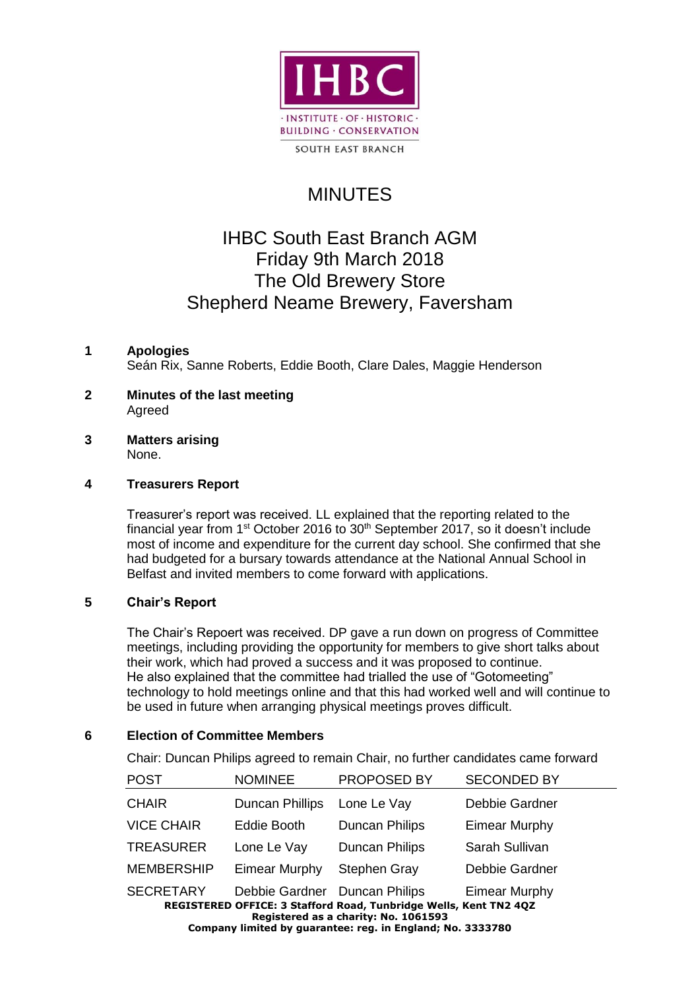

# MINUTES

# IHBC South East Branch AGM Friday 9th March 2018 The Old Brewery Store Shepherd Neame Brewery, Faversham

# **1 Apologies**

Seán Rix, Sanne Roberts, Eddie Booth, Clare Dales, Maggie Henderson

- **2 Minutes of the last meeting**  Agreed
- **3 Matters arising**  None.

## **4 Treasurers Report**

Treasurer's report was received. LL explained that the reporting related to the financial year from 1<sup>st</sup> October 2016 to 30<sup>th</sup> September 2017, so it doesn't include most of income and expenditure for the current day school. She confirmed that she had budgeted for a bursary towards attendance at the National Annual School in Belfast and invited members to come forward with applications.

## **5 Chair's Report**

The Chair's Repoert was received. DP gave a run down on progress of Committee meetings, including providing the opportunity for members to give short talks about their work, which had proved a success and it was proposed to continue. He also explained that the committee had trialled the use of "Gotomeeting" technology to hold meetings online and that this had worked well and will continue to be used in future when arranging physical meetings proves difficult.

## **6 Election of Committee Members**

Chair: Duncan Philips agreed to remain Chair, no further candidates came forward

| <b>POST</b>                                                                                        | <b>NOMINEE</b>                | PROPOSED BY           | <b>SECONDED BY</b>   |  |  |
|----------------------------------------------------------------------------------------------------|-------------------------------|-----------------------|----------------------|--|--|
| <b>CHAIR</b>                                                                                       | Duncan Phillips               | Lone Le Vay           | Debbie Gardner       |  |  |
| <b>VICE CHAIR</b>                                                                                  | Eddie Booth                   | <b>Duncan Philips</b> | <b>Eimear Murphy</b> |  |  |
| <b>TREASURER</b>                                                                                   | Lone Le Vay                   | <b>Duncan Philips</b> | Sarah Sullivan       |  |  |
| <b>MEMBERSHIP</b>                                                                                  | <b>Eimear Murphy</b>          | Stephen Gray          | Debbie Gardner       |  |  |
| <b>SECRETARY</b>                                                                                   | Debbie Gardner Duncan Philips |                       | <b>Eimear Murphy</b> |  |  |
| REGISTERED OFFICE: 3 Stafford Road, Tunbridge Wells, Kent TN2 4QZ                                  |                               |                       |                      |  |  |
| Registered as a charity: No. 1061593<br>Company limited by guarantee: reg. in England; No. 3333780 |                               |                       |                      |  |  |